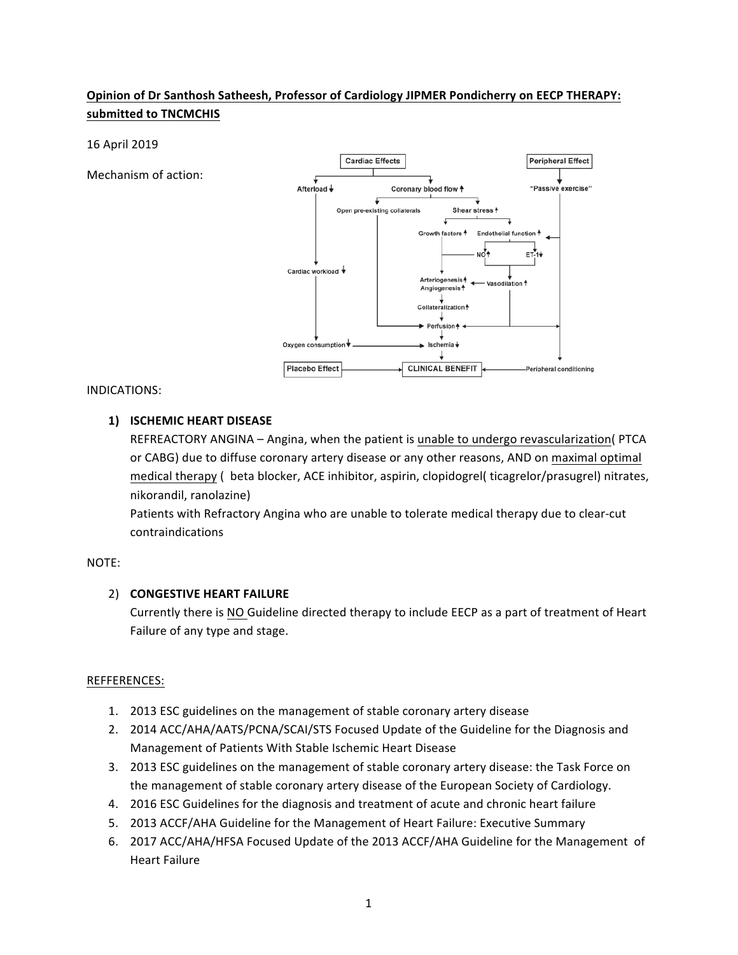# **Opinion of Dr Santhosh Satheesh, Professor of Cardiology JIPMER Pondicherry on EECP THERAPY:** submitted to **TNCMCHIS**

### 16 April 2019

Mechanism of action:



### INDICATIONS:

## **1) ISCHEMIC HEART DISEASE**

REFREACTORY ANGINA – Angina, when the patient is unable to undergo revascularization( PTCA or CABG) due to diffuse coronary artery disease or any other reasons, AND on maximal optimal medical therapy ( beta blocker, ACE inhibitor, aspirin, clopidogrel( ticagrelor/prasugrel) nitrates, nikorandil, ranolazine)

Patients with Refractory Angina who are unable to tolerate medical therapy due to clear-cut contraindications

### NOTE:

## 2) **CONGESTIVE HEART FAILURE**

Currently there is NO Guideline directed therapy to include EECP as a part of treatment of Heart Failure of any type and stage.

### REFFERENCES:

- 1. 2013 ESC guidelines on the management of stable coronary artery disease
- 2. 2014 ACC/AHA/AATS/PCNA/SCAI/STS Focused Update of the Guideline for the Diagnosis and Management of Patients With Stable Ischemic Heart Disease
- 3. 2013 ESC guidelines on the management of stable coronary artery disease: the Task Force on the management of stable coronary artery disease of the European Society of Cardiology.
- 4. 2016 ESC Guidelines for the diagnosis and treatment of acute and chronic heart failure
- 5. 2013 ACCF/AHA Guideline for the Management of Heart Failure: Executive Summary
- 6. 2017 ACC/AHA/HFSA Focused Update of the 2013 ACCF/AHA Guideline for the Management of Heart Failure